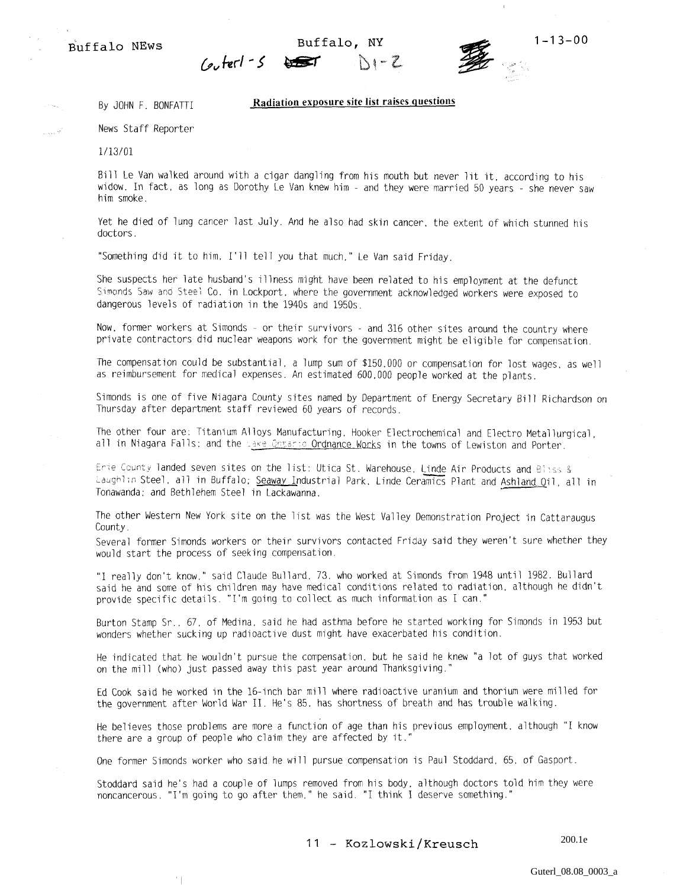

## By JOHN F. BONFATTI Radiation exposure site list raises questions

News Staff Reporter

 $^\prime$  [

1/13/01

فيبت

Bill Le Van walked around with a cigar dangling from his mouth but never lit it, according to his widow. In fact, as long as Dorothy Le Van knew him - and they were married 50 years - she never saw him smoke.

Yet he died of lung cancer last July. And he also had skin cancer, the extent of which stunned his doctors.

"Something did it to him, I'll tell you that much," Le Van said Friday.

She suspects her late husband's illness might have been related to his employment at the defunct Simonds Saw and Steel Co. in Lockport, where the government acknowledged workers were exposed to dangerous levels of radiation in the 1940s and 1950s.

Now, former workers at Simonds - or their survivors - and 316 other sites around the country where private contractors did nuclear weapons work for the government might be eligible for compensation.

The compensation could be substantial, a lump sum of \$150,000 or compensation for lost wages, as well as reimbursement for medical expenses. An estimated 600,000 people worked at the plants.

Simonds is one of five Niagara County sites named by Department of Energy Secretary Bill Richardson on Thursday after department staff reviewed 60 years of records.

The other four are: Titanium Alloys Manufacturing, Hooker Electrochemical and Electro Metallurgical, all in Niagara Falls; and the Lake Ontario Ordnance Works in the towns of Lewiston and Porter.

Erie County landed seven sites on the list: Utica St. Warehouse, Linde Air Products and Bliss & Laughlin Steel, all in Buffalo; Seaway Industrial Park, Linde Ceramics Plant and Ashland Oil, all in Tonawanda; and Bethlehem Steel in Lackawanna.

The other Western New York site on the list was the West Valley Demonstration Project in Cattaraugus County.

Several former Simonds workers or their survivors contacted Friday said they weren't sure whether they would start the process of seeking compensation.

"I really don't know," said Claude Bullard. 73. who worked at Simonds from 1948 until 1982. Bullard said he and some of his children may have medical conditions related to radiation, although he didn't provide specific details. "I'm going to collect as much information as I can,"

Burton Stamp Sr., 67, of Medina, said he had asthma before he started working for Simonds in 1953 but wonders whether sucking up radioactive dust might have exacerbated his condition.

He indicated that he wouldn't pursue the compensation, but he said he knew "a lot of guys that worked on the mill (who) just passed away this past year around Thanksgiving."

Ed Cook said he worked in the 16-inch bar mill where radioactive uranium and thorium were milled for the government after World War II. He's 85, has shortness of breath and has trouble walking.

He believes those problems are more a function of age than his previous employment, although "I know there are a group of people who claim they are affected by it."

One former Simonds worker who said he will pursue compensation is Paul Stoddard, 65, of Gasport.

Stoddard said he's had a couple of lumps removed from his body, although doctors told him they were noncancerous. "I'm going to go after them," he said. "I think I deserve something."

11 - Kozlowski/Kreusch